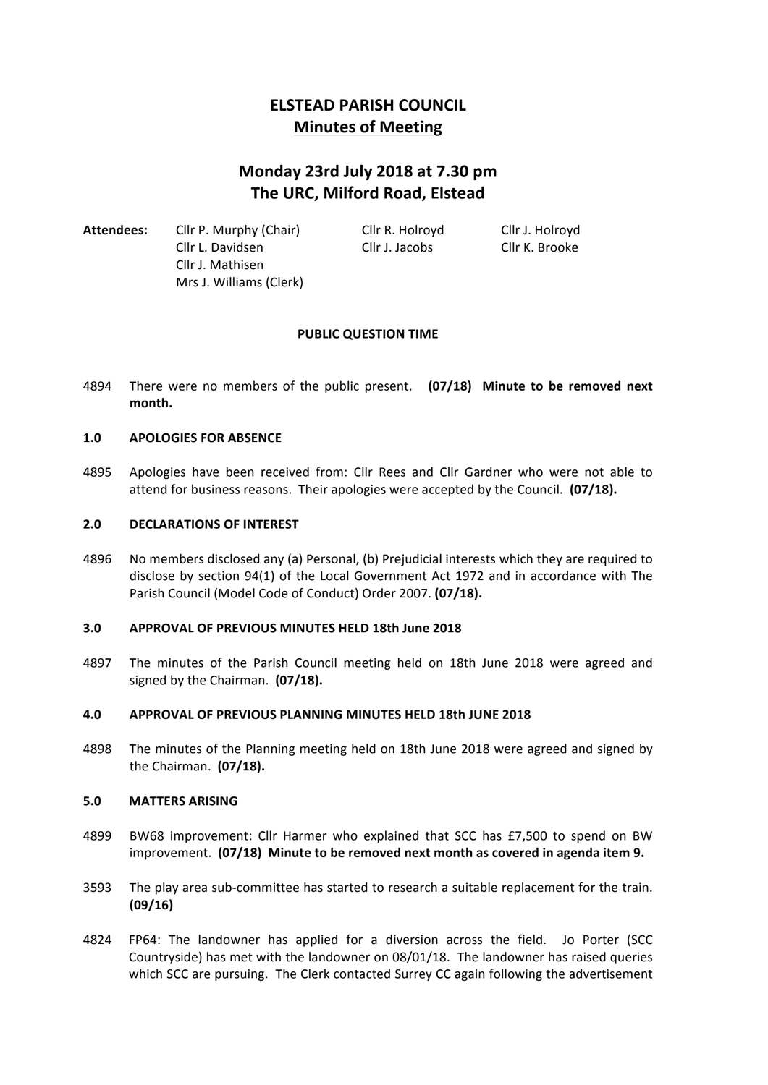# **ELSTEAD PARISH COUNCIL Minutes of Meeting**

# **Monday 23rd July 2018 at 7.30 pm The URC, Milford Road, Elstead**

Attendees: Cllr P. Murphy (Chair) Cllr R. Holroyd Cllr J. Holroyd Cllr L. Davidsen Cllr J. Jacobs Cllr K. Brooke Cllr J. Mathisen Mrs J. Williams (Clerk)

# **PUBLIC QUESTION TIME**

4894 There were no members of the public present. (07/18) Minute to be removed next **month.**

# 1.0 **APOLOGIES FOR ABSENCE**

4895 Apologies have been received from: Cllr Rees and Cllr Gardner who were not able to attend for business reasons. Their apologies were accepted by the Council. (07/18).

#### **2.0 DECLARATIONS OF INTEREST**

4896 No members disclosed any (a) Personal, (b) Prejudicial interests which they are required to disclose by section 94(1) of the Local Government Act 1972 and in accordance with The Parish Council (Model Code of Conduct) Order 2007. **(07/18).** 

# **3.0 APPROVAL OF PREVIOUS MINUTES HELD 18th June 2018**

4897 The minutes of the Parish Council meeting held on 18th June 2018 were agreed and signed by the Chairman. **(07/18).** 

#### **4.0 APPROVAL OF PREVIOUS PLANNING MINUTES HELD 18th JUNE 2018**

4898 The minutes of the Planning meeting held on 18th June 2018 were agreed and signed by the Chairman. (07/18).

#### **5.0 MATTERS ARISING**

- 4899 BW68 improvement: Cllr Harmer who explained that SCC has £7,500 to spend on BW improvement. **(07/18)** Minute to be removed next month as covered in agenda item 9.
- 3593 The play area sub-committee has started to research a suitable replacement for the train. **(09/16)**
- 4824 FP64: The landowner has applied for a diversion across the field. Jo Porter (SCC Countryside) has met with the landowner on 08/01/18. The landowner has raised queries which SCC are pursuing. The Clerk contacted Surrey CC again following the advertisement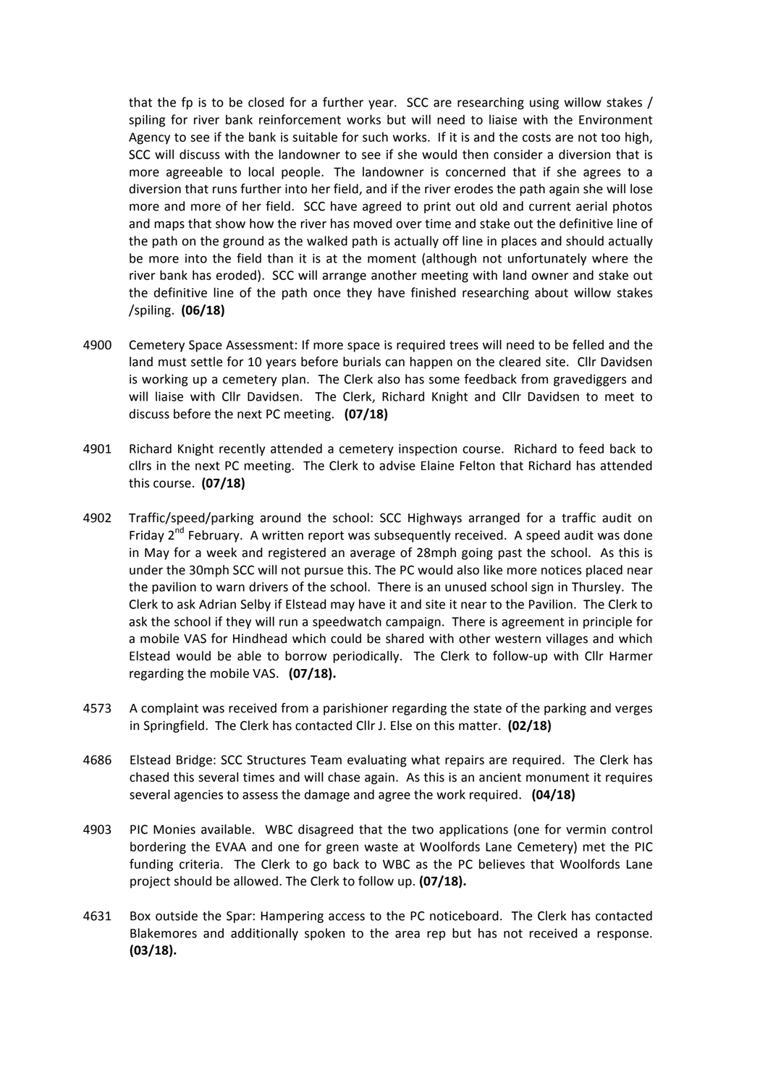that the fp is to be closed for a further year. SCC are researching using willow stakes / spiling for river bank reinforcement works but will need to liaise with the Environment Agency to see if the bank is suitable for such works. If it is and the costs are not too high, SCC will discuss with the landowner to see if she would then consider a diversion that is more agreeable to local people. The landowner is concerned that if she agrees to a diversion that runs further into her field, and if the river erodes the path again she will lose more and more of her field. SCC have agreed to print out old and current aerial photos and maps that show how the river has moved over time and stake out the definitive line of the path on the ground as the walked path is actually off line in places and should actually be more into the field than it is at the moment (although not unfortunately where the river bank has eroded). SCC will arrange another meeting with land owner and stake out the definitive line of the path once they have finished researching about willow stakes /spiling. **(06/18)**

- 4900 Cemetery Space Assessment: If more space is required trees will need to be felled and the land must settle for 10 years before burials can happen on the cleared site. Cllr Davidsen is working up a cemetery plan. The Clerk also has some feedback from gravediggers and will liaise with Cllr Davidsen. The Clerk, Richard Knight and Cllr Davidsen to meet to discuss before the next PC meeting. **(07/18)**
- 4901 Richard Knight recently attended a cemetery inspection course. Richard to feed back to cllrs in the next PC meeting. The Clerk to advise Elaine Felton that Richard has attended this course. **(07/18)**
- 4902 Traffic/speed/parking around the school: SCC Highways arranged for a traffic audit on Friday  $2^{nd}$  February. A written report was subsequently received. A speed audit was done in May for a week and registered an average of 28mph going past the school. As this is under the 30mph SCC will not pursue this. The PC would also like more notices placed near the pavilion to warn drivers of the school. There is an unused school sign in Thursley. The Clerk to ask Adrian Selby if Elstead may have it and site it near to the Pavilion. The Clerk to ask the school if they will run a speedwatch campaign. There is agreement in principle for a mobile VAS for Hindhead which could be shared with other western villages and which Elstead would be able to borrow periodically. The Clerk to follow-up with Cllr Harmer regarding the mobile VAS. (07/18).
- 4573 A complaint was received from a parishioner regarding the state of the parking and verges in Springfield. The Clerk has contacted Cllr J. Else on this matter. (02/18)
- 4686 Elstead Bridge: SCC Structures Team evaluating what repairs are required. The Clerk has chased this several times and will chase again. As this is an ancient monument it requires several agencies to assess the damage and agree the work required. (04/18)
- 4903 PIC Monies available. WBC disagreed that the two applications (one for vermin control bordering the EVAA and one for green waste at Woolfords Lane Cemetery) met the PIC funding criteria. The Clerk to go back to WBC as the PC believes that Woolfords Lane project should be allowed. The Clerk to follow up. **(07/18).**
- 4631 Box outside the Spar: Hampering access to the PC noticeboard. The Clerk has contacted Blakemores and additionally spoken to the area rep but has not received a response. **(03/18).**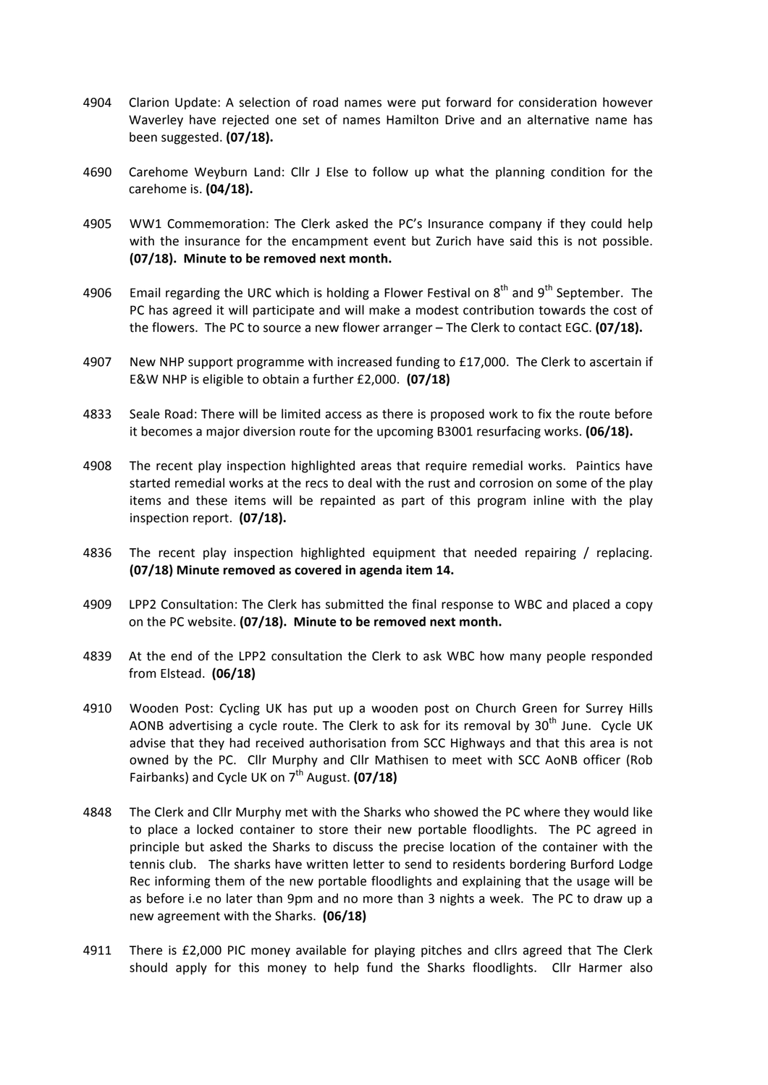- 4904 Clarion Update: A selection of road names were put forward for consideration however Waverley have rejected one set of names Hamilton Drive and an alternative name has been suggested. **(07/18).**
- 4690 Carehome Weyburn Land: Cllr J Else to follow up what the planning condition for the carehome is. **(04/18).**
- 4905 WW1 Commemoration: The Clerk asked the PC's Insurance company if they could help with the insurance for the encampment event but Zurich have said this is not possible. **(07/18).** Minute to be removed next month.
- 4906 Email regarding the URC which is holding a Flower Festival on  $8<sup>th</sup>$  and  $9<sup>th</sup>$  September. The PC has agreed it will participate and will make a modest contribution towards the cost of the flowers. The PC to source a new flower arranger – The Clerk to contact EGC. (07/18).
- 4907 New NHP support programme with increased funding to  $£17,000$ . The Clerk to ascertain if E&W NHP is eligible to obtain a further £2,000. **(07/18)**
- 4833 Seale Road: There will be limited access as there is proposed work to fix the route before it becomes a major diversion route for the upcoming B3001 resurfacing works. **(06/18).**
- 4908 The recent play inspection highlighted areas that require remedial works. Paintics have started remedial works at the recs to deal with the rust and corrosion on some of the play items and these items will be repainted as part of this program inline with the play inspection report. (07/18).
- 4836 The recent play inspection highlighted equipment that needed repairing / replacing. **(07/18)** Minute removed as covered in agenda item 14.
- 4909 LPP2 Consultation: The Clerk has submitted the final response to WBC and placed a copy on the PC website. (07/18). Minute to be removed next month.
- 4839 At the end of the LPP2 consultation the Clerk to ask WBC how many people responded from Elstead. **(06/18)**
- 4910 Wooden Post: Cycling UK has put up a wooden post on Church Green for Surrey Hills AONB advertising a cycle route. The Clerk to ask for its removal by  $30<sup>th</sup>$  June. Cycle UK advise that they had received authorisation from SCC Highways and that this area is not owned by the PC. Cllr Murphy and Cllr Mathisen to meet with SCC AoNB officer (Rob Fairbanks) and Cycle UK on 7<sup>th</sup> August. **(07/18)**
- 4848 The Clerk and Cllr Murphy met with the Sharks who showed the PC where they would like to place a locked container to store their new portable floodlights. The PC agreed in principle but asked the Sharks to discuss the precise location of the container with the tennis club. The sharks have written letter to send to residents bordering Burford Lodge Rec informing them of the new portable floodlights and explaining that the usage will be as before i.e no later than 9pm and no more than 3 nights a week. The PC to draw up a new agreement with the Sharks. **(06/18)**
- 4911 There is £2,000 PIC money available for playing pitches and cllrs agreed that The Clerk should apply for this money to help fund the Sharks floodlights. Cllr Harmer also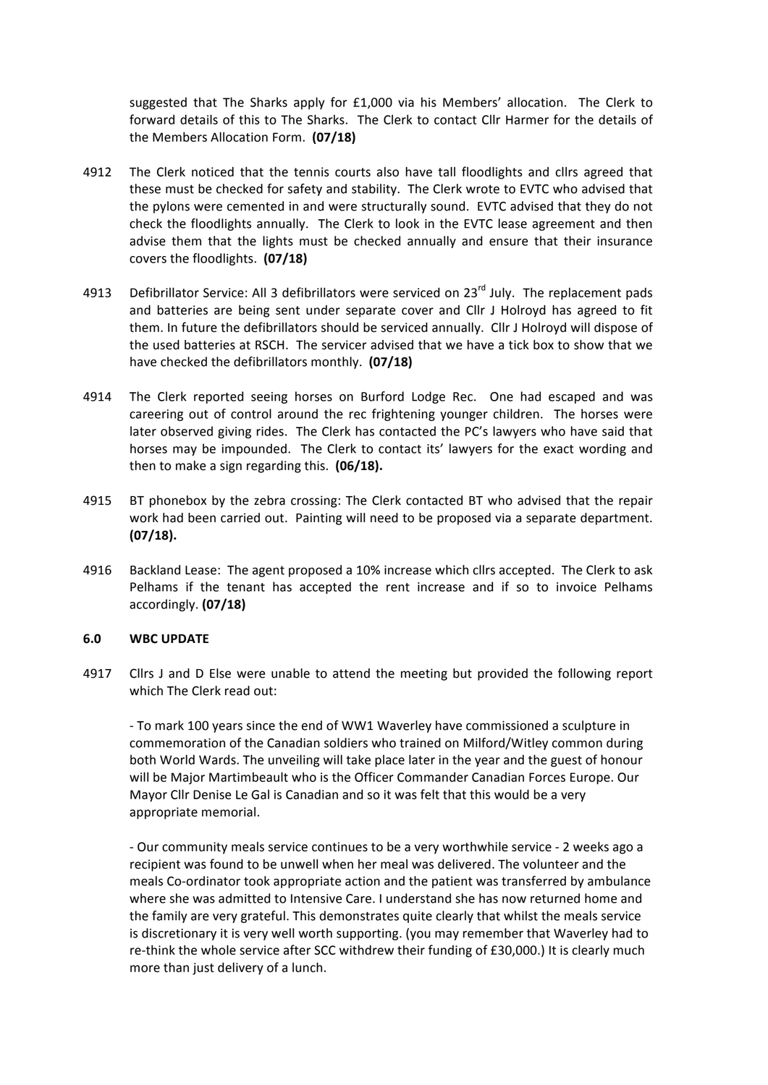suggested that The Sharks apply for £1,000 via his Members' allocation. The Clerk to forward details of this to The Sharks. The Clerk to contact Cllr Harmer for the details of the Members Allocation Form. **(07/18)** 

- 4912 The Clerk noticed that the tennis courts also have tall floodlights and cllrs agreed that these must be checked for safety and stability. The Clerk wrote to EVTC who advised that the pylons were cemented in and were structurally sound. EVTC advised that they do not check the floodlights annually. The Clerk to look in the EVTC lease agreement and then advise them that the lights must be checked annually and ensure that their insurance covers the floodlights. (07/18)
- 4913 Defibrillator Service: All 3 defibrillators were serviced on  $23^{rd}$  July. The replacement pads and batteries are being sent under separate cover and Cllr J Holroyd has agreed to fit them. In future the defibrillators should be serviced annually. Cllr J Holroyd will dispose of the used batteries at RSCH. The servicer advised that we have a tick box to show that we have checked the defibrillators monthly. **(07/18)**
- 4914 The Clerk reported seeing horses on Burford Lodge Rec. One had escaped and was careering out of control around the rec frightening younger children. The horses were later observed giving rides. The Clerk has contacted the PC's lawyers who have said that horses may be impounded. The Clerk to contact its' lawyers for the exact wording and then to make a sign regarding this. (06/18).
- 4915 BT phonebox by the zebra crossing: The Clerk contacted BT who advised that the repair work had been carried out. Painting will need to be proposed via a separate department. **(07/18).**
- 4916 Backland Lease: The agent proposed a 10% increase which cllrs accepted. The Clerk to ask Pelhams if the tenant has accepted the rent increase and if so to invoice Pelhams accordingly. **(07/18)**

#### **6.0 WBC UPDATE**

4917 Cllrs J and D Else were unable to attend the meeting but provided the following report which The Clerk read out:

- To mark 100 years since the end of WW1 Waverley have commissioned a sculpture in commemoration of the Canadian soldiers who trained on Milford/Witley common during both World Wards. The unveiling will take place later in the year and the guest of honour will be Major Martimbeault who is the Officer Commander Canadian Forces Europe. Our Mayor Cllr Denise Le Gal is Canadian and so it was felt that this would be a very appropriate memorial.

- Our community meals service continues to be a very worthwhile service - 2 weeks ago a recipient was found to be unwell when her meal was delivered. The volunteer and the meals Co-ordinator took appropriate action and the patient was transferred by ambulance where she was admitted to Intensive Care. I understand she has now returned home and the family are very grateful. This demonstrates quite clearly that whilst the meals service is discretionary it is very well worth supporting. (you may remember that Waverley had to re-think the whole service after SCC withdrew their funding of £30,000.) It is clearly much more than just delivery of a lunch.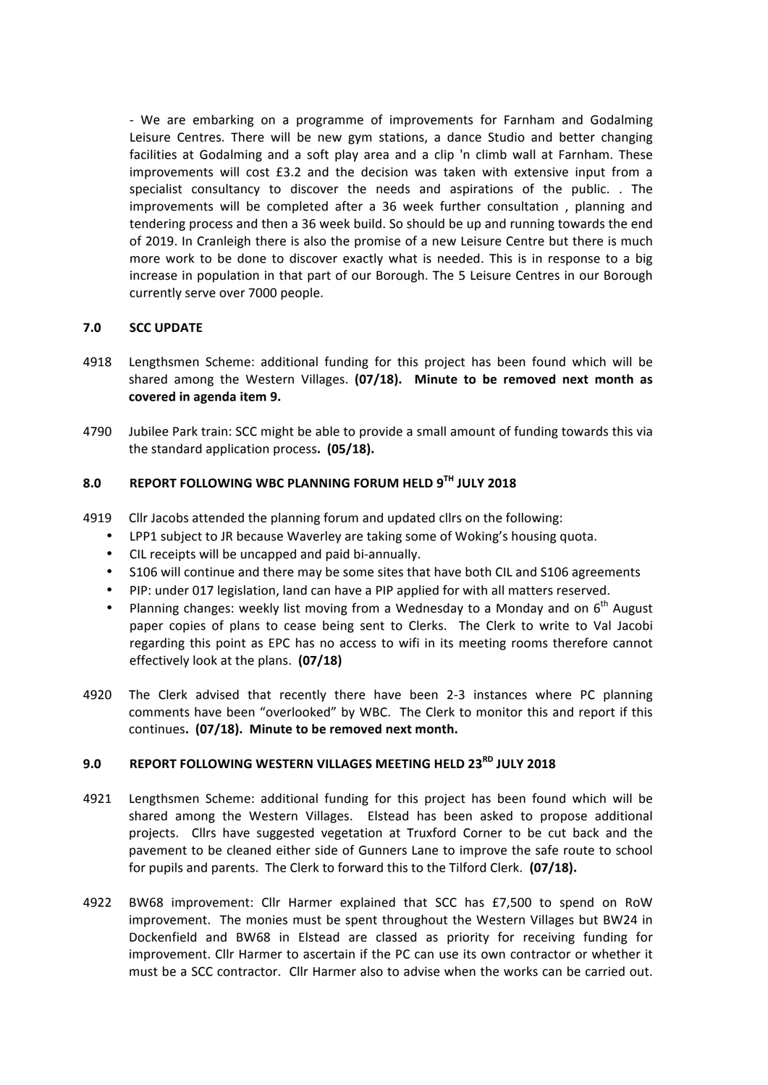- We are embarking on a programme of improvements for Farnham and Godalming Leisure Centres. There will be new gym stations, a dance Studio and better changing facilities at Godalming and a soft play area and a clip 'n climb wall at Farnham. These improvements will cost £3.2 and the decision was taken with extensive input from a specialist consultancy to discover the needs and aspirations of the public. . The improvements will be completed after a 36 week further consultation, planning and tendering process and then a 36 week build. So should be up and running towards the end of 2019. In Cranleigh there is also the promise of a new Leisure Centre but there is much more work to be done to discover exactly what is needed. This is in response to a big increase in population in that part of our Borough. The 5 Leisure Centres in our Borough currently serve over 7000 people.

# **7.0 SCC UPDATE**

- 4918 Lengthsmen Scheme: additional funding for this project has been found which will be shared among the Western Villages. (07/18). Minute to be removed next month as covered in agenda item 9.
- 4790 Jubilee Park train: SCC might be able to provide a small amount of funding towards this via the standard application process. (05/18).

# **8.0 REPORT FOLLOWING WBC PLANNING FORUM HELD 9TH JULY 2018**

- 4919 Cllr Jacobs attended the planning forum and updated cllrs on the following:
	- LPP1 subject to JR because Waverley are taking some of Woking's housing quota.
	- CIL receipts will be uncapped and paid bi-annually.
	- S106 will continue and there may be some sites that have both CIL and S106 agreements
	- PIP: under 017 legislation, land can have a PIP applied for with all matters reserved.
	- Planning changes: weekly list moving from a Wednesday to a Monday and on  $6<sup>th</sup>$  August paper copies of plans to cease being sent to Clerks. The Clerk to write to Val Jacobi regarding this point as EPC has no access to wifi in its meeting rooms therefore cannot effectively look at the plans. **(07/18)**
- 4920 The Clerk advised that recently there have been 2-3 instances where PC planning comments have been "overlooked" by WBC. The Clerk to monitor this and report if this continues. (07/18). Minute to be removed next month.

# **9.0 REPORT FOLLOWING WESTERN VILLAGES MEETING HELD 23RD JULY 2018**

- 4921 Lengthsmen Scheme: additional funding for this project has been found which will be shared among the Western Villages. Elstead has been asked to propose additional projects. Cllrs have suggested vegetation at Truxford Corner to be cut back and the pavement to be cleaned either side of Gunners Lane to improve the safe route to school for pupils and parents. The Clerk to forward this to the Tilford Clerk. (07/18).
- 4922 BW68 improvement: Cllr Harmer explained that SCC has £7,500 to spend on RoW improvement. The monies must be spent throughout the Western Villages but BW24 in Dockenfield and BW68 in Elstead are classed as priority for receiving funding for improvement. Cllr Harmer to ascertain if the PC can use its own contractor or whether it must be a SCC contractor. Cllr Harmer also to advise when the works can be carried out.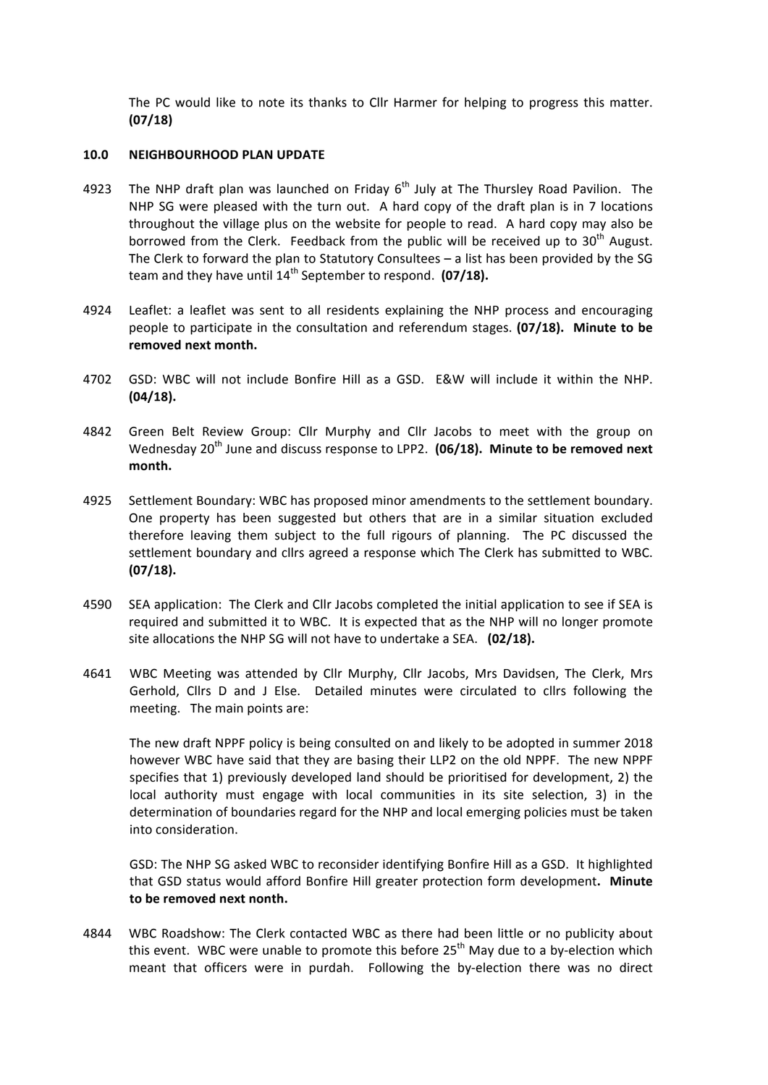The PC would like to note its thanks to Cllr Harmer for helping to progress this matter. **(07/18)**

#### **10.0 NEIGHBOURHOOD PLAN UPDATE**

- 4923 The NHP draft plan was launched on Friday  $6<sup>th</sup>$  July at The Thursley Road Pavilion. The NHP SG were pleased with the turn out. A hard copy of the draft plan is in 7 locations throughout the village plus on the website for people to read. A hard copy may also be borrowed from the Clerk. Feedback from the public will be received up to  $30<sup>th</sup>$  August. The Clerk to forward the plan to Statutory Consultees  $-$  a list has been provided by the SG team and they have until  $14^{th}$  September to respond.  $(07/18)$ .
- 4924 Leaflet: a leaflet was sent to all residents explaining the NHP process and encouraging people to participate in the consultation and referendum stages. **(07/18). Minute to be** removed next month.
- 4702 GSD: WBC will not include Bonfire Hill as a GSD. E&W will include it within the NHP. **(04/18).**
- 4842 Green Belt Review Group: Cllr Murphy and Cllr Jacobs to meet with the group on Wednesday 20<sup>th</sup> June and discuss response to LPP2. (06/18). Minute to be removed next **month.**
- 4925 Settlement Boundary: WBC has proposed minor amendments to the settlement boundary. One property has been suggested but others that are in a similar situation excluded therefore leaving them subject to the full rigours of planning. The PC discussed the settlement boundary and cllrs agreed a response which The Clerk has submitted to WBC. **(07/18).**
- 4590 SEA application: The Clerk and Cllr Jacobs completed the initial application to see if SEA is required and submitted it to WBC. It is expected that as the NHP will no longer promote site allocations the NHP SG will not have to undertake a SEA. (02/18).
- 4641 WBC Meeting was attended by Cllr Murphy, Cllr Jacobs, Mrs Davidsen, The Clerk, Mrs Gerhold, Cllrs D and J Else. Detailed minutes were circulated to cllrs following the meeting. The main points are:

The new draft NPPF policy is being consulted on and likely to be adopted in summer 2018 however WBC have said that they are basing their LLP2 on the old NPPF. The new NPPF specifies that 1) previously developed land should be prioritised for development, 2) the local authority must engage with local communities in its site selection, 3) in the determination of boundaries regard for the NHP and local emerging policies must be taken into consideration.

GSD: The NHP SG asked WBC to reconsider identifying Bonfire Hill as a GSD. It highlighted that GSD status would afford Bonfire Hill greater protection form development. Minute to be removed next nonth.

4844 WBC Roadshow: The Clerk contacted WBC as there had been little or no publicity about this event. WBC were unable to promote this before  $25<sup>th</sup>$  May due to a by-election which meant that officers were in purdah. Following the by-election there was no direct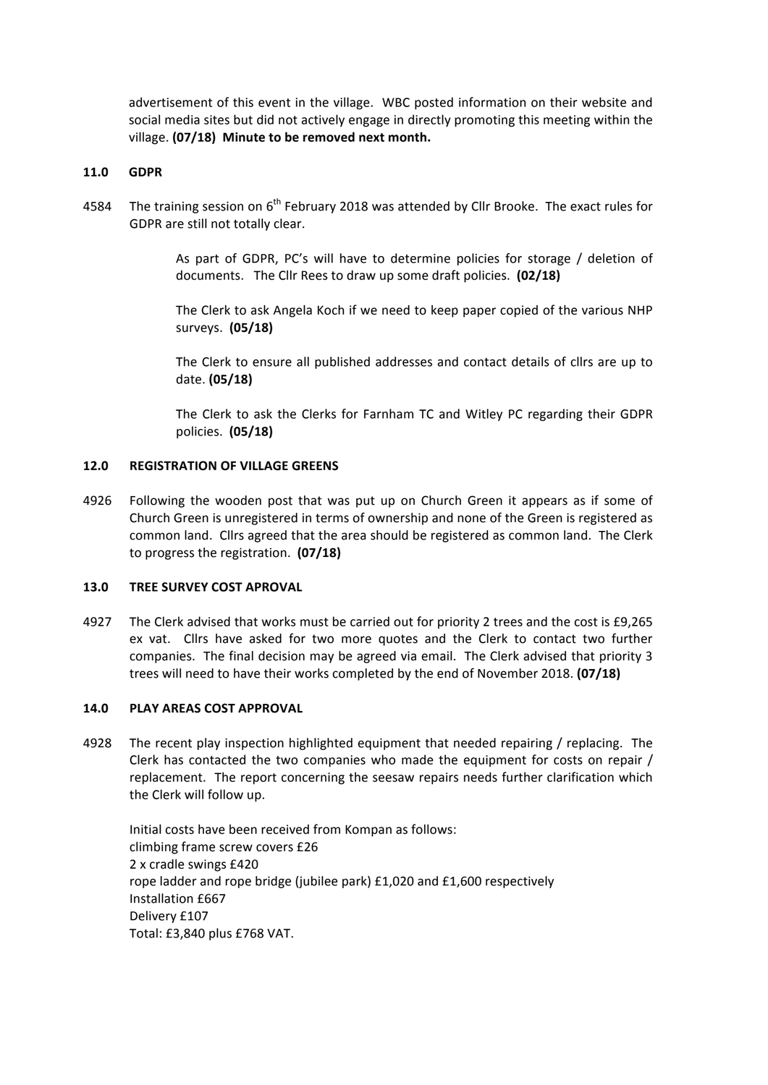advertisement of this event in the village. WBC posted information on their website and social media sites but did not actively engage in directly promoting this meeting within the village. **(07/18)** Minute to be removed next month.

## **11.0 GDPR**

4584 The training session on 6<sup>th</sup> February 2018 was attended by Cllr Brooke. The exact rules for GDPR are still not totally clear.

> As part of GDPR, PC's will have to determine policies for storage  $/$  deletion of documents. The Cllr Rees to draw up some draft policies. (02/18)

> The Clerk to ask Angela Koch if we need to keep paper copied of the various NHP surveys. **(05/18)**

> The Clerk to ensure all published addresses and contact details of cllrs are up to date. **(05/18)**

> The Clerk to ask the Clerks for Farnham TC and Witley PC regarding their GDPR policies. **(05/18)**

#### **12.0 REGISTRATION OF VILLAGE GREENS**

4926 Following the wooden post that was put up on Church Green it appears as if some of Church Green is unregistered in terms of ownership and none of the Green is registered as common land. Cllrs agreed that the area should be registered as common land. The Clerk to progress the registration. **(07/18)** 

#### **13.0 TREE SURVEY COST APROVAL**

4927 The Clerk advised that works must be carried out for priority 2 trees and the cost is £9,265 ex vat. Cllrs have asked for two more quotes and the Clerk to contact two further companies. The final decision may be agreed via email. The Clerk advised that priority 3 trees will need to have their works completed by the end of November 2018. **(07/18)** 

## **14.0 PLAY AREAS COST APPROVAL**

4928 The recent play inspection highlighted equipment that needed repairing / replacing. The Clerk has contacted the two companies who made the equipment for costs on repair / replacement. The report concerning the seesaw repairs needs further clarification which the Clerk will follow up.

Initial costs have been received from Kompan as follows: climbing frame screw covers £26 2 x cradle swings £420 rope ladder and rope bridge (jubilee park) £1,020 and £1,600 respectively Installation £667 Delivery £107 Total: £3,840 plus £768 VAT.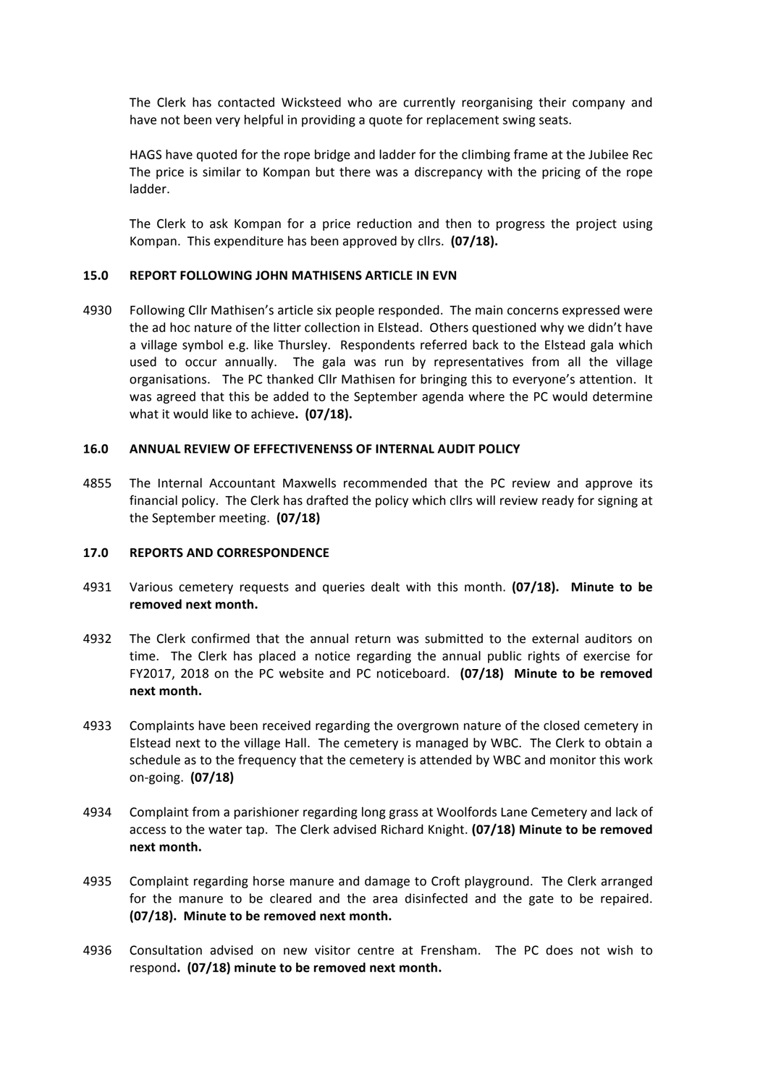The Clerk has contacted Wicksteed who are currently reorganising their company and have not been very helpful in providing a quote for replacement swing seats.

HAGS have quoted for the rope bridge and ladder for the climbing frame at the Jubilee Rec The price is similar to Kompan but there was a discrepancy with the pricing of the rope ladder.

The Clerk to ask Kompan for a price reduction and then to progress the project using Kompan. This expenditure has been approved by cllrs. (07/18).

#### 15.0 REPORT FOLLOWING JOHN MATHISENS ARTICLE IN EVN

4930 Following Cllr Mathisen's article six people responded. The main concerns expressed were the ad hoc nature of the litter collection in Elstead. Others questioned why we didn't have a village symbol e.g. like Thursley. Respondents referred back to the Elstead gala which used to occur annually. The gala was run by representatives from all the village organisations. The PC thanked Cllr Mathisen for bringing this to everyone's attention. It was agreed that this be added to the September agenda where the PC would determine what it would like to achieve. (07/18).

#### **16.0 ANNUAL REVIEW OF EFFECTIVENENSS OF INTERNAL AUDIT POLICY**

4855 The Internal Accountant Maxwells recommended that the PC review and approve its financial policy. The Clerk has drafted the policy which cllrs will review ready for signing at the September meeting. (07/18)

#### **17.0 REPORTS AND CORRESPONDENCE**

- 4931 Various cemetery requests and queries dealt with this month. (07/18). Minute to be removed next month.
- 4932 The Clerk confirmed that the annual return was submitted to the external auditors on time. The Clerk has placed a notice regarding the annual public rights of exercise for FY2017, 2018 on the PC website and PC noticeboard. (07/18) Minute to be removed next month.
- 4933 Complaints have been received regarding the overgrown nature of the closed cemetery in Elstead next to the village Hall. The cemetery is managed by WBC. The Clerk to obtain a schedule as to the frequency that the cemetery is attended by WBC and monitor this work on-going. **(07/18)**
- 4934 Complaint from a parishioner regarding long grass at Woolfords Lane Cemetery and lack of access to the water tap. The Clerk advised Richard Knight. **(07/18) Minute to be removed next month.**
- 4935 Complaint regarding horse manure and damage to Croft playground. The Clerk arranged for the manure to be cleared and the area disinfected and the gate to be repaired. **(07/18).** Minute to be removed next month.
- 4936 Consultation advised on new visitor centre at Frensham. The PC does not wish to respond. (07/18) minute to be removed next month.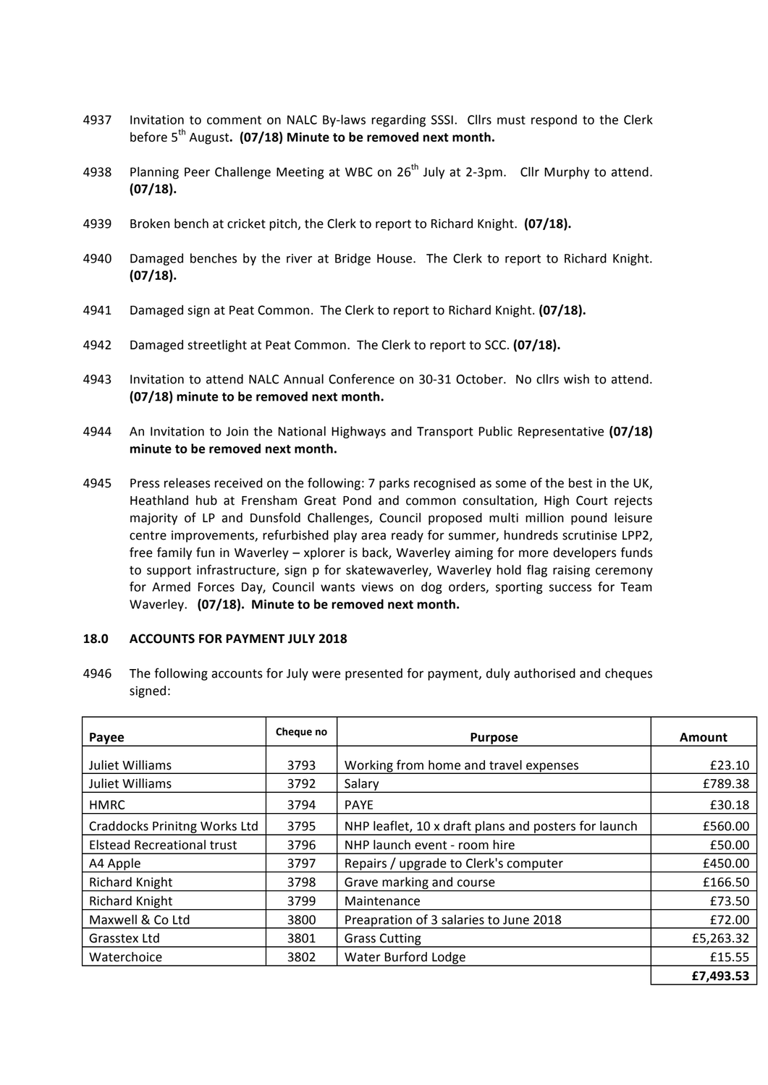- 4937 Invitation to comment on NALC By-laws regarding SSSI. Cllrs must respond to the Clerk before 5<sup>th</sup> August. (07/18) Minute to be removed next month.
- 4938 Planning Peer Challenge Meeting at WBC on  $26<sup>th</sup>$  July at 2-3pm. Cllr Murphy to attend. **(07/18).**
- 4939 Broken bench at cricket pitch, the Clerk to report to Richard Knight. (07/18).
- 4940 Damaged benches by the river at Bridge House. The Clerk to report to Richard Knight. **(07/18).**
- 4941 Damaged sign at Peat Common. The Clerk to report to Richard Knight. (07/18).
- 4942 Damaged streetlight at Peat Common. The Clerk to report to SCC. (07/18).
- 4943 Invitation to attend NALC Annual Conference on 30-31 October. No cllrs wish to attend. **(07/18)** minute to be removed next month.
- 4944 An Invitation to Join the National Highways and Transport Public Representative (07/18) minute to be removed next month.
- 4945 Press releases received on the following: 7 parks recognised as some of the best in the UK, Heathland hub at Frensham Great Pond and common consultation, High Court rejects majority of LP and Dunsfold Challenges, Council proposed multi million pound leisure centre improvements, refurbished play area ready for summer, hundreds scrutinise LPP2, free family fun in Waverley  $-$  xplorer is back, Waverley aiming for more developers funds to support infrastructure, sign p for skatewaverley, Waverley hold flag raising ceremony for Armed Forces Day, Council wants views on dog orders, sporting success for Team Waverley. (07/18). Minute to be removed next month.

#### **18.0 ACCOUNTS FOR PAYMENT JULY 2018**

4946 The following accounts for July were presented for payment, duly authorised and cheques signed:

| Payee                               | Cheque no | <b>Purpose</b>                                       | Amount    |
|-------------------------------------|-----------|------------------------------------------------------|-----------|
| Juliet Williams                     | 3793      | Working from home and travel expenses                | £23.10    |
| Juliet Williams                     | 3792      | Salary                                               | £789.38   |
| <b>HMRC</b>                         | 3794      | <b>PAYE</b>                                          | £30.18    |
| <b>Craddocks Prinitng Works Ltd</b> | 3795      | NHP leaflet, 10 x draft plans and posters for launch | £560.00   |
| <b>Elstead Recreational trust</b>   | 3796      | NHP launch event - room hire                         | £50.00    |
| A4 Apple                            | 3797      | Repairs / upgrade to Clerk's computer                | £450.00   |
| <b>Richard Knight</b>               | 3798      | Grave marking and course                             | £166.50   |
| <b>Richard Knight</b>               | 3799      | Maintenance                                          | £73.50    |
| Maxwell & Co Ltd                    | 3800      | Preapration of 3 salaries to June 2018               | £72.00    |
| Grasstex Ltd                        | 3801      | <b>Grass Cutting</b>                                 | £5,263.32 |
| Waterchoice                         | 3802      | <b>Water Burford Lodge</b>                           | £15.55    |
|                                     |           |                                                      | £7,493.53 |